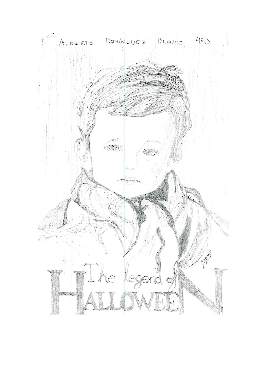